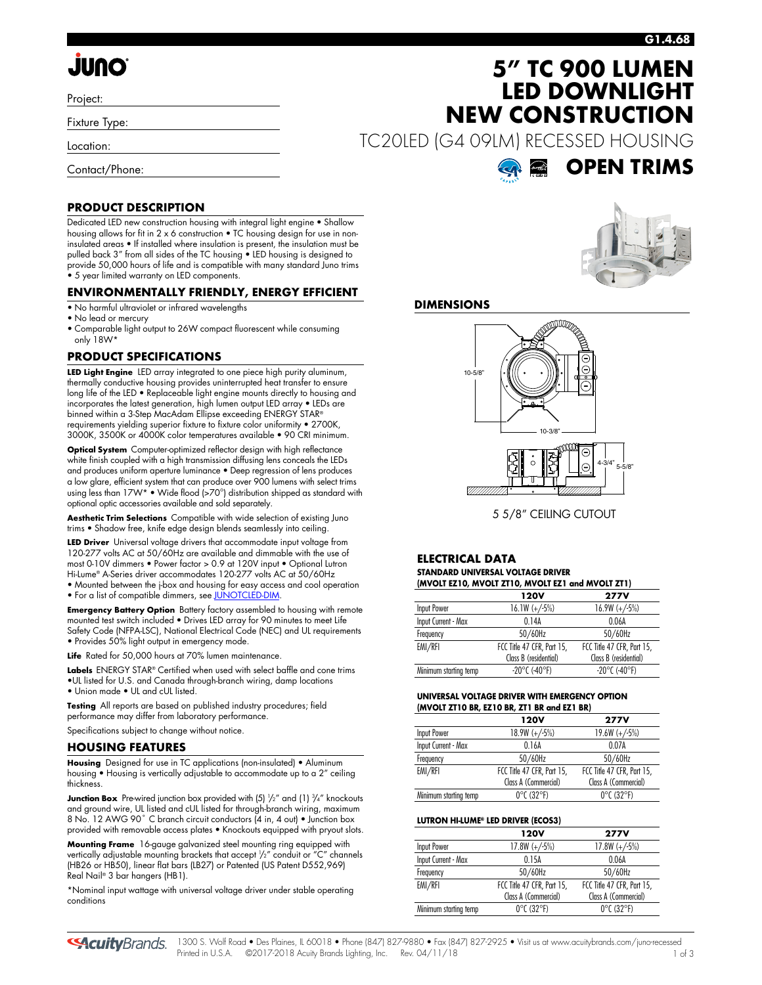# **JUNO**

Project:

Fixture Type:

Location:

Contact/Phone:

**PRODUCT DESCRIPTION**

### **G1.4.68**

## **5" TC 900 LUMEN LED DOWNLIGHT NEW CONSTRUCTION**

TC20LED (G4 09LM) RECESSED HOUSING

Dedicated LED new construction housing with integral light engine • Shallow housing allows for fit in 2 x 6 construction • TC housing design for use in noninsulated areas • If installed where insulation is present, the insulation must be pulled back 3" from all sides of the TC housing • LED housing is designed to provide 50,000 hours of life and is compatible with many standard Juno trims • 5 year limited warranty on LED components.

### **ENVIRONMENTALLY FRIENDLY, ENERGY EFFICIENT**

- No harmful ultraviolet or infrared wavelengths
- No lead or mercury
- Comparable light output to 26W compact fluorescent while consuming only 18W\*

### **PRODUCT SPECIFICATIONS**

**LED Light Engine** LED array integrated to one piece high purity aluminum, thermally conductive housing provides uninterrupted heat transfer to ensure long life of the LED • Replaceable light engine mounts directly to housing and incorporates the latest generation, high lumen output LED array • LEDs are binned within a 3-Step MacAdam Ellipse exceeding ENERGY STAR® requirements yielding superior fixture to fixture color uniformity • 2700K, 3000K, 3500K or 4000K color temperatures available • 90 CRI minimum.

**Optical System** Computer-optimized reflector design with high reflectance white finish coupled with a high transmission diffusing lens conceals the LEDs and produces uniform aperture luminance • Deep regression of lens produces a low glare, efficient system that can produce over 900 lumens with select trims using less than 17W\* • Wide flood (>70°) distribution shipped as standard with optional optic accessories available and sold separately.

**Aesthetic Trim Selections** Compatible with wide selection of existing Juno trims • Shadow free, knife edge design blends seamlessly into ceiling.

**LED Driver** Universal voltage drivers that accommodate input voltage from 120-277 volts AC at 50/60Hz are available and dimmable with the use of most 0-10V dimmers • Power factor > 0.9 at 120V input • Optional Lutron Hi-Lume® A-Series driver accommodates 120-277 volts AC at 50/60Hz • Mounted between the j-box and housing for easy access and cool operation

• For a list of compatible dimmers, se[e JUNOTCLED-DIM.](http://www.acuitybrands.com/shell/-/media/Files/Acuity/Other/JUNOTCLED-DIM.pdf)

**Emergency Battery Option** Battery factory assembled to housing with remote mounted test switch included • Drives LED array for 90 minutes to meet Life Safety Code (NFPA-LSC), National Electrical Code (NEC) and UL requirements • Provides 50% light output in emergency mode.

**Life** Rated for 50,000 hours at 70% lumen maintenance.

Labels ENERGY STAR® Certified when used with select baffle and cone trims •UL listed for U.S. and Canada through-branch wiring, damp locations

• Union made • UL and cUL listed.

**Testing** All reports are based on published industry procedures; field performance may differ from laboratory performance.

Specifications subject to change without notice.

### **HOUSING FEATURES**

**Housing** Designed for use in TC applications (non-insulated) • Aluminum housing • Housing is vertically adjustable to accommodate up to a 2" ceiling thickness.

**Junction Box** Pre-wired junction box provided with (5)  $\frac{1}{2}$ " and (1)  $\frac{3}{4}$ " knockouts and ground wire, UL listed and cUL listed for through-branch wiring, maximum 8 No. 12 AWG 90° C branch circuit conductors (4 in, 4 out) • Junction box provided with removable access plates • Knockouts equipped with pryout slots.

**Mounting Frame** 16-gauge galvanized steel mounting ring equipped with vertically adjustable mounting brackets that accept 1 /2" conduit or "C" channels (HB26 or HB50), linear flat bars (LB27) or Patented (US Patent D552,969) Real Nail® 3 bar hangers (HB1).

\*Nominal input wattage with universal voltage driver under stable operating conditions



**OPEN TRIMS**

### **DIMENSIONS**



5 5/8" CEILING CUTOUT

### **ELECTRICAL DATA STANDARD UNIVERSAL VOLTAGE DRIVER**

| (MVOLT EZ10, MVOLT ZT10, MVOLT EZ1 and MVOLT ZT1) |                            |                            |  |  |  |  |
|---------------------------------------------------|----------------------------|----------------------------|--|--|--|--|
|                                                   | 120V                       | <b>277V</b>                |  |  |  |  |
| Input Power                                       | $16.1W (+/-5%)$            | $16.9W (+/-5%)$            |  |  |  |  |
| Input Current - Max                               | 0.14A                      | 0.06A                      |  |  |  |  |
| Frequency                                         | 50/60Hz                    | 50/60Hz                    |  |  |  |  |
| EMI/RFI                                           | FCC Title 47 CFR, Part 15, | FCC Title 47 CFR, Part 15, |  |  |  |  |
|                                                   | Class B (residential)      | Class B (residential)      |  |  |  |  |
| Minimum starting temp                             | $-20^{\circ}$ C (-40°F)    | $-20^{\circ}$ C (-40°F)    |  |  |  |  |

### **UNIVERSAL VOLTAGE DRIVER WITH EMERGENCY OPTION (MVOLT ZT10 BR, EZ10 BR, ZT1 BR and EZ1 BR)**

| <b>120V</b>                     | <b>277V</b>                     |
|---------------------------------|---------------------------------|
| $18.9W (+/-5%)$                 | $19.6W (+/-5%)$                 |
| 0.16A                           | 0.07A                           |
| 50/60Hz                         | 50/60Hz                         |
| FCC Title 47 CFR, Part 15,      | FCC Title 47 CFR, Part 15,      |
| Class A (Commercial)            | Class A (Commercial)            |
| $0^{\circ}$ C (32 $^{\circ}$ F) | $0^{\circ}$ C (32 $^{\circ}$ F) |
|                                 |                                 |

### **LUTRON HI-LUME® LED DRIVER (ECOS3)**

|                       | 120V                            | <b>277V</b>                     |
|-----------------------|---------------------------------|---------------------------------|
| <b>Input Power</b>    | $17.8W (+/-5%)$                 | $17.8W (+/-5%)$                 |
| Input Current - Max   | 0.15A                           | 0.06A                           |
| Frequency             | 50/60Hz                         | 50/60Hz                         |
| EMI/RFI               | FCC Title 47 CFR, Part 15,      | FCC Title 47 CFR, Part 15,      |
|                       | Class A (Commercial)            | Class A (Commercial)            |
| Minimum starting temp | $0^{\circ}$ C (32 $^{\circ}$ F) | $0^{\circ}$ C (32 $^{\circ}$ F) |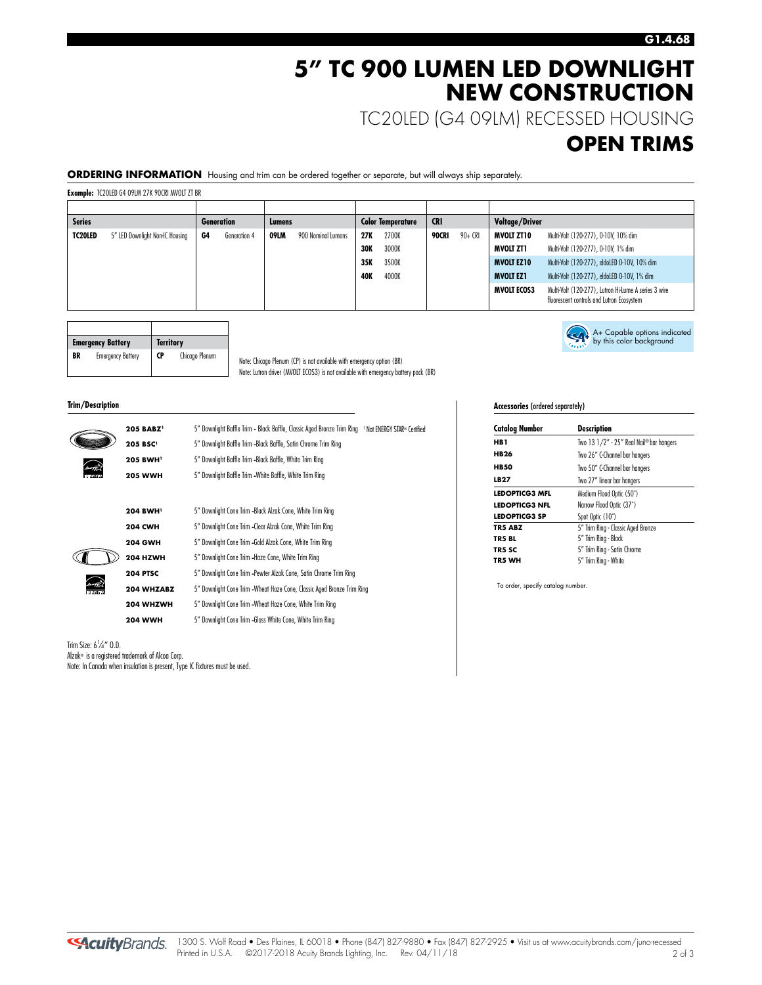### **5" TC 900 LUMEN LED DOWNLIGHT NEW CONSTRUCTION**

TC20LED (G4 09LM) RECESSED HOUSING

### **OPEN TRIMS**

A+ Capable options indicated by this color background

**ORDERING INFORMATION** Housing and trim can be ordered together or separate, but will always ship separately.

**Example:** TC20LED G4 09LM 27K 90CRI MVOLT ZT BR

| <b>Series</b> |                                 |    | <b>Generation</b> | Lumens |                    |     | <b>Color Temperature</b> | <b>CRI</b> |         | <b>Voltage/Driver</b> |                                                                                                   |
|---------------|---------------------------------|----|-------------------|--------|--------------------|-----|--------------------------|------------|---------|-----------------------|---------------------------------------------------------------------------------------------------|
| TC20LED       | 5" LED Downlight Non-IC Housing | G4 | Generation 4      | 09LM   | 900 Nominal Lumens | 27K | 2700K                    | 90CRI      | 90+ CRI | MVOLT ZT10            | Multi-Volt (120-277), 0-10V, 10% dim                                                              |
|               |                                 |    |                   |        |                    | 30K | 3000K                    |            |         | MVOLT ZT1             | Multi-Volt (120-277), 0-10V, 1% dim                                                               |
|               |                                 |    |                   |        |                    | 35K | 3500K                    |            |         | <b>MVOLT EZ10</b>     | Multi-Volt (120-277), eldoLED 0-10V, 10% dim                                                      |
|               |                                 |    |                   |        |                    | 40K | 4000K                    |            |         | <b>MVOLT EZ1</b>      | Multi-Volt (120-277), eldoLED 0-10V, 1% dim                                                       |
|               |                                 |    |                   |        |                    |     |                          |            |         | <b>MVOLT ECOS3</b>    | Multi-Volt (120-277), Lutron Hi-Lume A series 3 wire<br>fluorescent controls and Lutron Ecosystem |

|    | <b>Emergency Battery</b> | <b>Territory</b> |                |  |
|----|--------------------------|------------------|----------------|--|
| BR | <b>Emergency Battery</b> | CP               | Chicago Plenum |  |

Note: Chicago Plenum (CP) is not available with emergency option (BR) Note: Lutron driver (MVOLT ECOS3) is not available with emergency battery pack (BR)

#### **Trim/Description**

| <b>205 BABZ</b>      | 5" Downlight Baffle Trim - Black Baffle, Classic Aged Bronze Trim Ring<br><sup>1</sup> Not ENERGY STAR® Certified |  |  |
|----------------------|-------------------------------------------------------------------------------------------------------------------|--|--|
| 205 BSC <sup>1</sup> | 5" Downlight Baffle Trim -Black Baffle, Satin Chrome Trim Ring                                                    |  |  |
| 205 BWH <sup>1</sup> | 5" Downlight Baffle Trim -Black Baffle, White Trim Ring                                                           |  |  |
| <b>205 WWH</b>       | 5" Downlight Baffle Trim - White Baffle, White Trim Ring                                                          |  |  |
|                      |                                                                                                                   |  |  |
| 204 BWH <sup>1</sup> | 5" Downlight Cone Trim -Black Alzak Cone, White Trim Ring                                                         |  |  |
| <b>204 CWH</b>       | 5" Downlight Cone Trim - Clear Alzak Cone, White Trim Ring                                                        |  |  |
| <b>204 GWH</b>       | 5" Downlight Cone Trim -Gold Alzak Cone, White Trim Ring                                                          |  |  |
| <b>204 HZWH</b>      | 5" Downlight Cone Trim -Haze Cone, White Trim Ring                                                                |  |  |
| <b>204 PTSC</b>      | 5" Downlight Cone Trim -Pewter Alzak Cone, Satin Chrome Trim Ring                                                 |  |  |
| 204 WHZABZ           | 5" Downlight Cone Trim - Wheat Haze Cone, Classic Aged Bronze Trim Ring                                           |  |  |
| 204 WHZWH            | 5" Downlight Cone Trim - Wheat Haze Cone, White Trim Ring                                                         |  |  |
| <b>204 WWH</b>       | 5" Downlight Cone Trim -Gloss White Cone, White Trim Ring                                                         |  |  |

Trim Size: 6<sup>1</sup> ⁄4" O.D. Alzak® is a registered trademark of Alcoa Corp.

Note: In Canada when insulation is present, Type IC fixtures must be used.

### **Accessories** (ordered separately)

| <b>Catalog Number</b> | Description                              |  |
|-----------------------|------------------------------------------|--|
| HB 1                  | Two 13 1/2" - 25" Real Nail® bar hangers |  |
| <b>HB26</b>           | Two 26" C-Channel bar hangers            |  |
| <b>HB50</b>           | Two 50" C-Channel bar hangers            |  |
| LB 27                 | Two 27" linear bar hangers               |  |
| <b>LEDOPTICG3 MFL</b> | Medium Flood Optic (50°)                 |  |
| <b>LEDOPTICG3 NFL</b> | Narrow Flood Optic (37°)                 |  |
| <b>LEDOPTICG3 SP</b>  | Spot Optic (10°)                         |  |
| <b>TR5 ABZ</b>        | 5" Trim Ring - Classic Aged Bronze       |  |
| TR5 BL                | 5" Trim Ring - Black                     |  |
| TR5 SC                | 5" Trim Ring - Satin Chrome              |  |
| TR5 WH                | 5" Trim Ring - White                     |  |
|                       |                                          |  |

To order, specify catalog number.